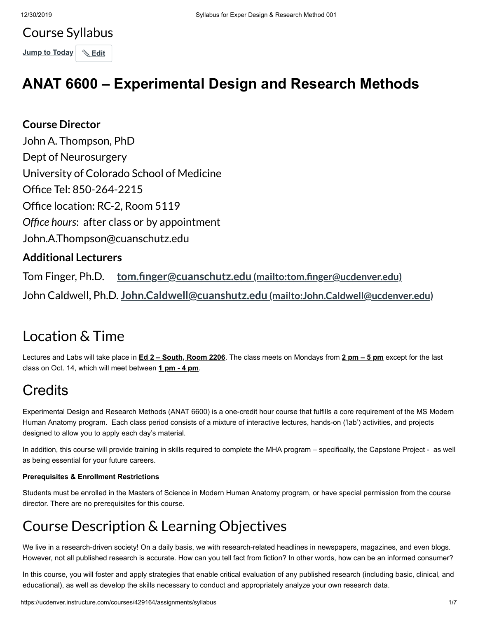# Course Syllabus **Jump to Today & Edit**

# **ANAT 6600 – Experimental Design and Research Methods**

### **Course Director**

John A. Thompson, PhD Dept of Neurosurgery University of Colorado School of Medicine Office Tel: 850-264-2215 Office location: RC-2, Room 5119 Office hours: after class or by appointment John.A.Thompson@cuanschutz.edu

### **Additional Lecturers**

Tom Finger, Ph.D. **tom.finger@cuanschutz.edu** (mailto:tom.finger@ucdenver.edu) John Caldwell, Ph.D. **John.Caldwell@cuanshutz.edu [\(mailto:John.Caldwell@ucdenver.edu\)](mailto:John.Caldwell@ucdenver.edu)**

### Location & Time

Lectures and Labs will take place in **Ed 2 – South, Room 2206**. The class meets on Mondays from **2 pm – 5 pm** except for the last class on Oct. 14, which will meet between **1 pm - 4 pm**.

# **Credits**

Experimental Design and Research Methods (ANAT 6600) is a one-credit hour course that fulfills a core requirement of the MS Modern Human Anatomy program. Each class period consists of a mixture of interactive lectures, hands-on ('lab') activities, and projects designed to allow you to apply each day's material.

In addition, this course will provide training in skills required to complete the MHA program – specifically, the Capstone Project - as well as being essential for your future careers.

#### **Prerequisites & Enrollment Restrictions**

Students must be enrolled in the Masters of Science in Modern Human Anatomy program, or have special permission from the course director. There are no prerequisites for this course.

# Course Description & Learning Objectives

We live in a research-driven society! On a daily basis, we with research-related headlines in newspapers, magazines, and even blogs. However, not all published research is accurate. How can you tell fact from fiction? In other words, how can be an informed consumer?

In this course, you will foster and apply strategies that enable critical evaluation of any published research (including basic, clinical, and educational), as well as develop the skills necessary to conduct and appropriately analyze your own research data.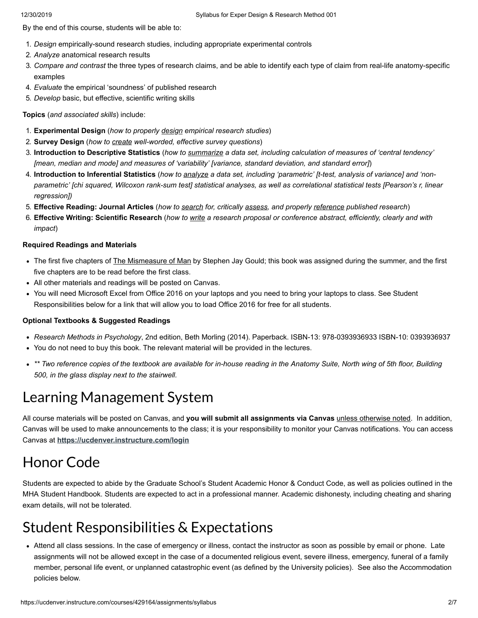By the end of this course, students will be able to:

- 1. *Design* empirically-sound research studies, including appropriate experimental controls
- 2. *Analyze* anatomical research results
- 3. *Compare and contrast* the three types of research claims, and be able to identify each type of claim from real-life anatomy-specific examples
- 4. *Evaluate* the empirical 'soundness' of published research
- 5. *Develop* basic, but effective, scientific writing skills

**Topics** (*and associated skills*) include:

- 1. **Experimental Design** (*how to properly design empirical research studies*)
- 2. **Survey Design** (*how to create well-worded, effective survey questions*)
- 3. **Introduction to Descriptive Statistics** (*how to summarize a data set, including calculation of measures of 'central tendency' [mean, median and mode] and measures of 'variability' [variance, standard deviation, and standard error]*)
- 4. **Introduction to Inferential Statistics** (*how to analyze a data set, including 'parametric' [t-test, analysis of variance] and 'nonparametric' [chi squared, Wilcoxon rank-sum test] statistical analyses, as well as correlational statistical tests [Pearson's r, linear regression])*
- 5. **Effective Reading: Journal Articles** (*how to search for, critically assess, and properly reference published research*)
- 6. **Effective Writing: Scientific Research** (*how to write a research proposal or conference abstract, efficiently, clearly and with impact*)

#### **Required Readings and Materials**

- The first five chapters of The Mismeasure of Man by Stephen Jay Gould; this book was assigned during the summer, and the first five chapters are to be read before the first class.
- All other materials and readings will be posted on Canvas.
- You will need Microsoft Excel from Office 2016 on your laptops and you need to bring your laptops to class. See Student Responsibilities below for a link that will allow you to load Office 2016 for free for all students.

#### **Optional Textbooks & Suggested Readings**

- *Research Methods in Psychology*, 2nd edition, Beth Morling (2014). Paperback. ISBN-13: 978-0393936933 ISBN-10: 0393936937
- You do not need to buy this book. The relevant material will be provided in the lectures.
- *\*\* Two reference copies of the textbook are available for in-house reading in the Anatomy Suite, North wing of 5th floor, Building 500, in the glass display next to the stairwell.*

### Learning Management System

All course materials will be posted on Canvas, and **you will submit all assignments via Canvas** unless otherwise noted. In addition, Canvas will be used to make announcements to the class; it is your responsibility to monitor your Canvas notifications. You can access Canvas at **<https://ucdenver.instructure.com/login>**

### Honor Code

Students are expected to abide by the Graduate School's Student Academic Honor & Conduct Code, as well as policies outlined in the MHA Student Handbook. Students are expected to act in a professional manner. Academic dishonesty, including cheating and sharing exam details, will not be tolerated.

### Student Responsibilities & Expectations

Attend all class sessions. In the case of emergency or illness, contact the instructor as soon as possible by email or phone. Late assignments will not be allowed except in the case of a documented religious event, severe illness, emergency, funeral of a family member, personal life event, or unplanned catastrophic event (as defined by the University policies). See also the Accommodation policies below.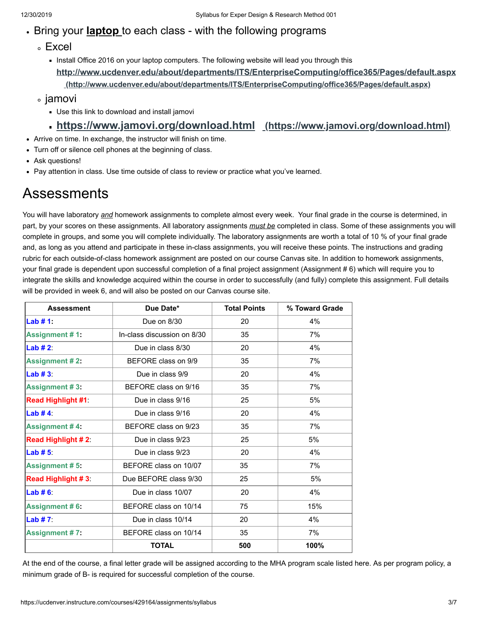#### Bring your **laptop** to each class - with the following programs

- Excel
	- Install Office 2016 on your laptop computers. The following website will lead you through this **<http://www.ucdenver.edu/about/departments/ITS/EnterpriseComputing/office365/Pages/default.aspx> (http://www.ucdenver.edu/about/departments/ITS/EnterpriseComputing/office365/Pages/default.aspx)**
- ∘ jamovi
	- Use this link to download and install jamovi

#### **<https://www.jamovi.org/download.html> (https://www.jamovi.org/download.html)**

- Arrive on time. In exchange, the instructor will finish on time.
- Turn off or silence cell phones at the beginning of class.
- Ask questions!
- Pay attention in class. Use time outside of class to review or practice what you've learned.

### Assessments

You will have laboratory *and* homework assignments to complete almost every week. Your final grade in the course is determined, in part, by your scores on these assignments. All laboratory assignments *must be* completed in class. Some of these assignments you will complete in groups, and some you will complete individually. The laboratory assignments are worth a total of 10 % of your final grade and, as long as you attend and participate in these in-class assignments, you will receive these points. The instructions and grading rubric for each outside-of-class homework assignment are posted on our course Canvas site. In addition to homework assignments, your final grade is dependent upon successful completion of a final project assignment (Assignment # 6) which will require you to integrate the skills and knowledge acquired within the course in order to successfully (and fully) complete this assignment. Full details will be provided in week 6, and will also be posted on our Canvas course site.

| <b>Assessment</b>         | Due Date*                   | <b>Total Points</b> | % Toward Grade |
|---------------------------|-----------------------------|---------------------|----------------|
| Lab #1:                   | Due on 8/30                 | 20                  | 4%             |
| <b>Assignment #1:</b>     | In-class discussion on 8/30 | 35                  | 7%             |
| Lab $#2$ :                | Due in class 8/30           | 20                  | 4%             |
| <b>Assignment #2:</b>     | BEFORE class on 9/9         | 35                  | 7%             |
| Lab $#3.$                 | Due in class 9/9            | 20                  | 4%             |
| <b>Assignment #3:</b>     | BEFORE class on 9/16        | 35                  | 7%             |
| <b>Read Highlight #1:</b> | Due in class 9/16           | 25                  | 5%             |
| Lab $#4$                  | Due in class 9/16           | 20                  | 4%             |
| <b>Assignment #4:</b>     | BEFORE class on 9/23        | 35                  | 7%             |
| <b>Read Highlight #2</b>  | Due in class 9/23           | 25                  | 5%             |
| Lab $# 5.$                | Due in class 9/23           | 20                  | 4%             |
| <b>Assignment #5:</b>     | BEFORE class on 10/07       | 35                  | 7%             |
| <b>Read Highlight #3</b>  | Due BEFORE class 9/30       | 25                  | 5%             |
| Lab $# 6.$                | Due in class 10/07          | 20                  | 4%             |
| <b>Assignment #6:</b>     | BEFORE class on 10/14       | 75                  | 15%            |
| Lab $#7$ :                | Due in class 10/14          | 20                  | 4%             |
| <b>Assignment #7:</b>     | BEFORE class on 10/14       | 35                  | 7%             |
|                           | <b>TOTAL</b>                | 500                 | 100%           |

At the end of the course, a final letter grade will be assigned according to the MHA program scale listed here. As per program policy, a minimum grade of B- is required for successful completion of the course.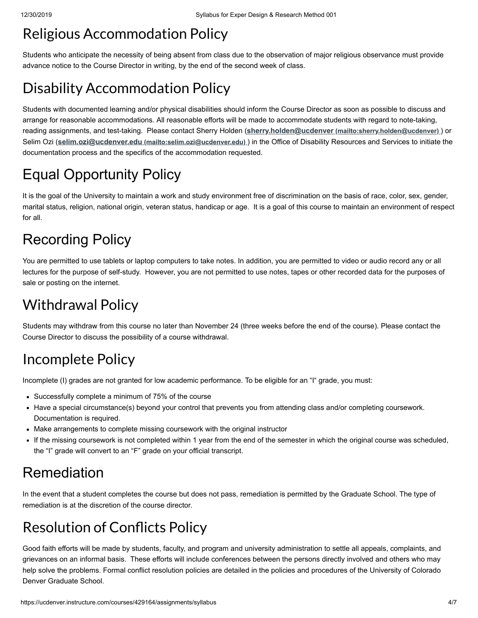### Religious Accommodation Policy

Students who anticipate the necessity of being absent from class due to the observation of major religious observance must provide advance notice to the Course Director in writing, by the end of the second week of class.

# Disability Accommodation Policy

Students with documented learning and/or physical disabilities should inform the Course Director as soon as possible to discuss and arrange for reasonable accommodations. All reasonable efforts will be made to accommodate students with regard to note-taking, reading assignments, and test-taking. Please contact Sherry Holden (**sherry.holden@ucdenver [\(mailto:sherry.holden@ucdenver\)](mailto:sherry.holden@ucdenver)** ) or Selim Ozi (**selim.ozi@ucdenver.edu [\(mailto:selim.ozi@ucdenver.edu\)](mailto:selim.ozi@ucdenver.edu)** ) in the Office of Disability Resources and Services to initiate the documentation process and the specifics of the accommodation requested.

# Equal Opportunity Policy

It is the goal of the University to maintain a work and study environment free of discrimination on the basis of race, color, sex, gender, marital status, religion, national origin, veteran status, handicap or age. It is a goal of this course to maintain an environment of respect for all.

# Recording Policy

You are permitted to use tablets or laptop computers to take notes. In addition, you are permitted to video or audio record any or all lectures for the purpose of self-study. However, you are not permitted to use notes, tapes or other recorded data for the purposes of sale or posting on the internet.

# Withdrawal Policy

Students may withdraw from this course no later than November 24 (three weeks before the end of the course). Please contact the Course Director to discuss the possibility of a course withdrawal.

# Incomplete Policy

Incomplete (I) grades are not granted for low academic performance. To be eligible for an "I" grade, you must:

- Successfully complete a minimum of 75% of the course
- Have a special circumstance(s) beyond your control that prevents you from attending class and/or completing coursework. Documentation is required.
- Make arrangements to complete missing coursework with the original instructor
- If the missing coursework is not completed within 1 year from the end of the semester in which the original course was scheduled, the "I" grade will convert to an "F" grade on your official transcript.

### Remediation

In the event that a student completes the course but does not pass, remediation is permitted by the Graduate School. The type of remediation is at the discretion of the course director.

# **Resolution of Conflicts Policy**

Good faith efforts will be made by students, faculty, and program and university administration to settle all appeals, complaints, and grievances on an informal basis. These efforts will include conferences between the persons directly involved and others who may help solve the problems. Formal conflict resolution policies are detailed in the policies and procedures of the University of Colorado Denver Graduate School.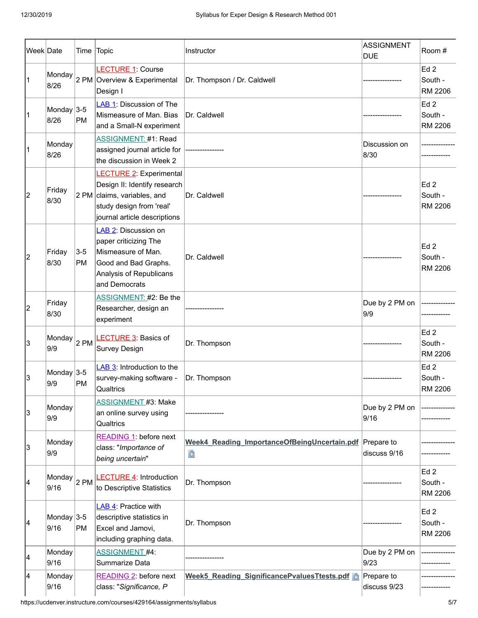| Week Date |                    |                    | Time Topic                                                                                                                                                | Instructor                                                   | ASSIGNMENT<br><b>DUE</b>   | Room #                                       |
|-----------|--------------------|--------------------|-----------------------------------------------------------------------------------------------------------------------------------------------------------|--------------------------------------------------------------|----------------------------|----------------------------------------------|
|           | Monday<br>8/26     |                    | LECTURE 1: Course<br>2 PM Overview & Experimental<br>Design I                                                                                             | Dr. Thompson / Dr. Caldwell                                  |                            | Ed <sub>2</sub><br>South -<br>RM 2206        |
| 1         | Monday 3-5<br>8/26 | PM                 | LAB 1: Discussion of The<br>Mismeasure of Man. Bias<br>and a Small-N experiment                                                                           | Dr. Caldwell                                                 |                            | Ed <sub>2</sub><br>South -<br>RM 2206        |
| 1         | Monday<br>8/26     |                    | <b>ASSIGNMENT: #1: Read</b><br>assigned journal article for<br>the discussion in Week 2                                                                   |                                                              | Discussion on<br>8/30      |                                              |
| 2         | Friday<br>8/30     |                    | <b>LECTURE 2: Experimental</b><br>Design II: Identify research<br>2 PM claims, variables, and<br>study design from 'real'<br>journal article descriptions | Dr. Caldwell                                                 |                            | Ed 2<br>South -<br>RM 2206                   |
| 2         | Friday<br>8/30     | $3-5$<br><b>PM</b> | LAB 2: Discussion on<br>paper criticizing The<br>Mismeasure of Man.<br>Good and Bad Graphs.<br>Analysis of Republicans<br>and Democrats                   | Dr. Caldwell                                                 |                            | Ed2<br>South -<br><b>RM 2206</b>             |
| 2         | Friday<br>8/30     |                    | ASSIGNMENT: #2: Be the<br>Researcher, design an<br>experiment                                                                                             |                                                              | Due by 2 PM on<br>9/9      |                                              |
| 13        | Monday<br>9/9      | $2$ PM             | <b>LECTURE 3: Basics of</b><br><b>Survey Design</b>                                                                                                       | Dr. Thompson                                                 |                            | Ed <sub>2</sub><br>South -<br><b>RM 2206</b> |
| 13        | Monday 3-5<br>9/9  | PM                 | LAB 3: Introduction to the<br>survey-making software -<br>Qualtrics                                                                                       | Dr. Thompson                                                 |                            | Ed2<br>South -<br>RM 2206                    |
| 3         | Monday<br>9/9      |                    | <b>ASSIGNMENT #3: Make</b><br>an online survey using<br>Qualtrics                                                                                         |                                                              | Due by 2 PM on<br>9/16     |                                              |
| 13        | Monday<br>9/9      |                    | READING 1: before next<br>class: "Importance of<br>being uncertain"                                                                                       | Week4 Reading ImportanceOfBeingUncertain.pdf Prepare to<br>Q | discuss 9/16               |                                              |
| 14        | Monday<br>9/16     | $2$ PM             | <b>LECTURE 4: Introduction</b><br>to Descriptive Statistics                                                                                               | Dr. Thompson                                                 |                            | Ed <sub>2</sub><br>South -<br>RM 2206        |
| 14        | Monday 3-5<br>9/16 | PM                 | LAB 4: Practice with<br>descriptive statistics in<br>Excel and Jamovi,<br>including graphing data.                                                        | Dr. Thompson                                                 |                            | Ed <sub>2</sub><br>South -<br>RM 2206        |
| 14        | Monday<br>9/16     |                    | <b>ASSIGNMENT #4:</b><br>Summarize Data                                                                                                                   |                                                              | Due by 2 PM on<br>9/23     |                                              |
| 14        | Monday<br>9/16     |                    | READING 2: before next<br>class: "Significance, P                                                                                                         | Week5_Reading_SignificancePvaluesTtests.pdf                  | Prepare to<br>discuss 9/23 |                                              |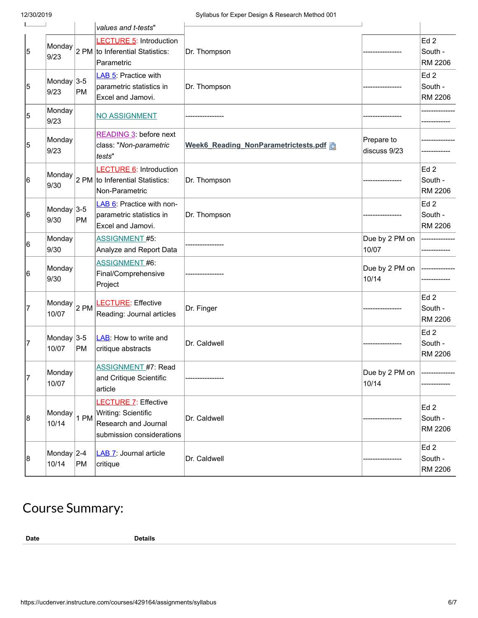| $\overline{\phantom{0}}$ |                         |           | values and t-tests"                                                                                     |                                      |                            |                                              |
|--------------------------|-------------------------|-----------|---------------------------------------------------------------------------------------------------------|--------------------------------------|----------------------------|----------------------------------------------|
| 5                        | Monday<br>9/23          |           | <b>LECTURE 5: Introduction</b><br>2 PM to Inferential Statistics:<br>Parametric                         | Dr. Thompson                         |                            | Ed <sub>2</sub><br>South -<br>RM 2206        |
| 5                        | Monday $ 3-5 $<br>9/23  | <b>PM</b> | LAB 5: Practice with<br>parametric statistics in<br>Excel and Jamovi.                                   | Dr. Thompson                         |                            | Ed <sub>2</sub><br>South -<br>RM 2206        |
| 5                        | Monday<br>9/23          |           | <b>NO ASSIGNMENT</b>                                                                                    |                                      |                            |                                              |
| 5                        | Monday<br>9/23          |           | READING 3: before next<br>class: "Non-parametric<br>tests"                                              | Week6 Reading NonParametrictests.pdf | Prepare to<br>discuss 9/23 |                                              |
| 6                        | Monday<br>9/30          |           | <b>LECTURE 6: Introduction</b><br>$2$ PM to Inferential Statistics:<br>Non-Parametric                   | Dr. Thompson                         |                            | Ed <sub>2</sub><br>South -<br>RM 2206        |
| 6                        | Monday $3-5$<br>9/30    | PM        | LAB 6: Practice with non-<br>parametric statistics in<br>Excel and Jamovi.                              | Dr. Thompson                         |                            | Ed <sub>2</sub><br>South -<br>RM 2206        |
| 6                        | Monday<br>9/30          |           | <b>ASSIGNMENT #5:</b><br>Analyze and Report Data                                                        |                                      | Due by 2 PM on<br>10/07    |                                              |
| 16                       | Monday<br>9/30          |           | ASSIGNMENT #6:<br>Final/Comprehensive<br>Project                                                        |                                      | Due by 2 PM on<br>10/14    |                                              |
| 17                       | Monday<br>10/07         | $2$ PM    | LECTURE: Effective<br>Reading: Journal articles                                                         | Dr. Finger                           |                            | Ed <sub>2</sub><br>South -<br><b>RM 2206</b> |
| 17                       | Monday $ 3-5 $<br>10/07 | <b>PM</b> | LAB: How to write and<br>critique abstracts                                                             | Dr. Caldwell                         |                            | Ed <sub>2</sub><br>South -<br>RM 2206        |
| 7                        | Monday<br>10/07         |           | <b>ASSIGNMENT #7: Read</b><br>and Critique Scientific<br>article                                        |                                      | Due by 2 PM on<br>10/14    |                                              |
| 8                        | Monday<br>10/14         | 1 PM      | <b>LECTURE 7: Effective</b><br>Writing: Scientific<br>Research and Journal<br>submission considerations | Dr. Caldwell                         |                            | Ed2<br>South -<br>RM 2206                    |
| 8                        | Monday $2-4$<br>10/14   | PM        | LAB 7: Journal article<br>critique                                                                      | Dr. Caldwell                         |                            | Ed2<br>South -<br>RM 2206                    |

### Course Summary:

**Date Details**